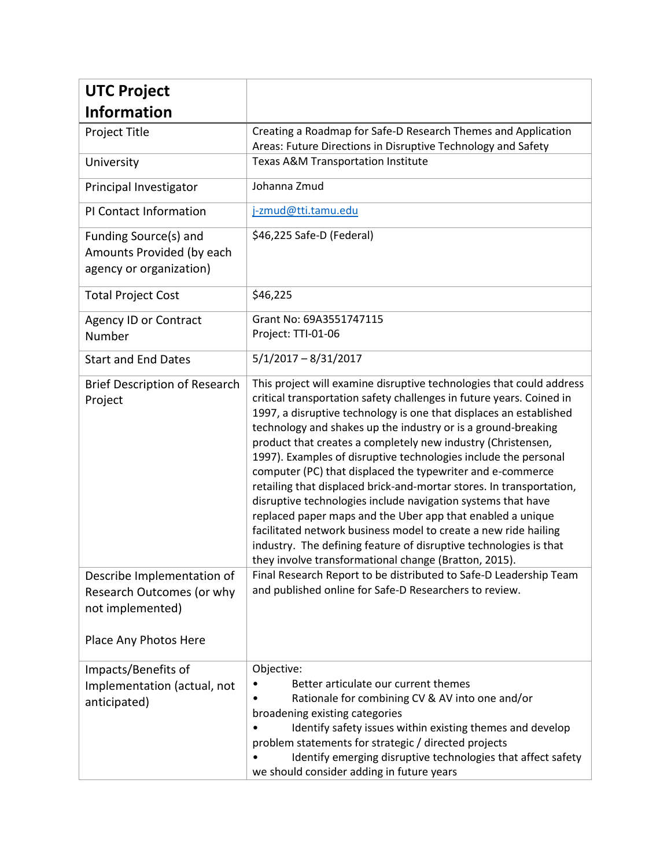| <b>UTC Project</b>                                                                                   |                                                                                                                                                                                                                                                                                                                                                                                                                                                                                                                                                                                                                                                                                                                                                                                                                                                                                             |
|------------------------------------------------------------------------------------------------------|---------------------------------------------------------------------------------------------------------------------------------------------------------------------------------------------------------------------------------------------------------------------------------------------------------------------------------------------------------------------------------------------------------------------------------------------------------------------------------------------------------------------------------------------------------------------------------------------------------------------------------------------------------------------------------------------------------------------------------------------------------------------------------------------------------------------------------------------------------------------------------------------|
| <b>Information</b>                                                                                   |                                                                                                                                                                                                                                                                                                                                                                                                                                                                                                                                                                                                                                                                                                                                                                                                                                                                                             |
| Project Title                                                                                        | Creating a Roadmap for Safe-D Research Themes and Application                                                                                                                                                                                                                                                                                                                                                                                                                                                                                                                                                                                                                                                                                                                                                                                                                               |
|                                                                                                      | Areas: Future Directions in Disruptive Technology and Safety<br>Texas A&M Transportation Institute                                                                                                                                                                                                                                                                                                                                                                                                                                                                                                                                                                                                                                                                                                                                                                                          |
| University                                                                                           |                                                                                                                                                                                                                                                                                                                                                                                                                                                                                                                                                                                                                                                                                                                                                                                                                                                                                             |
| Principal Investigator                                                                               | Johanna Zmud                                                                                                                                                                                                                                                                                                                                                                                                                                                                                                                                                                                                                                                                                                                                                                                                                                                                                |
| PI Contact Information                                                                               | j-zmud@tti.tamu.edu                                                                                                                                                                                                                                                                                                                                                                                                                                                                                                                                                                                                                                                                                                                                                                                                                                                                         |
| Funding Source(s) and<br>Amounts Provided (by each<br>agency or organization)                        | \$46,225 Safe-D (Federal)                                                                                                                                                                                                                                                                                                                                                                                                                                                                                                                                                                                                                                                                                                                                                                                                                                                                   |
| <b>Total Project Cost</b>                                                                            | \$46,225                                                                                                                                                                                                                                                                                                                                                                                                                                                                                                                                                                                                                                                                                                                                                                                                                                                                                    |
| <b>Agency ID or Contract</b><br>Number                                                               | Grant No: 69A3551747115<br>Project: TTI-01-06                                                                                                                                                                                                                                                                                                                                                                                                                                                                                                                                                                                                                                                                                                                                                                                                                                               |
| <b>Start and End Dates</b>                                                                           | $5/1/2017 - 8/31/2017$                                                                                                                                                                                                                                                                                                                                                                                                                                                                                                                                                                                                                                                                                                                                                                                                                                                                      |
| <b>Brief Description of Research</b><br>Project                                                      | This project will examine disruptive technologies that could address<br>critical transportation safety challenges in future years. Coined in<br>1997, a disruptive technology is one that displaces an established<br>technology and shakes up the industry or is a ground-breaking<br>product that creates a completely new industry (Christensen,<br>1997). Examples of disruptive technologies include the personal<br>computer (PC) that displaced the typewriter and e-commerce<br>retailing that displaced brick-and-mortar stores. In transportation,<br>disruptive technologies include navigation systems that have<br>replaced paper maps and the Uber app that enabled a unique<br>facilitated network business model to create a new ride hailing<br>industry. The defining feature of disruptive technologies is that<br>they involve transformational change (Bratton, 2015). |
| Describe Implementation of<br>Research Outcomes (or why<br>not implemented)<br>Place Any Photos Here | Final Research Report to be distributed to Safe-D Leadership Team<br>and published online for Safe-D Researchers to review.                                                                                                                                                                                                                                                                                                                                                                                                                                                                                                                                                                                                                                                                                                                                                                 |
| Impacts/Benefits of<br>Implementation (actual, not<br>anticipated)                                   | Objective:<br>Better articulate our current themes<br>Rationale for combining CV & AV into one and/or<br>broadening existing categories<br>Identify safety issues within existing themes and develop<br>problem statements for strategic / directed projects<br>Identify emerging disruptive technologies that affect safety<br>we should consider adding in future years                                                                                                                                                                                                                                                                                                                                                                                                                                                                                                                   |